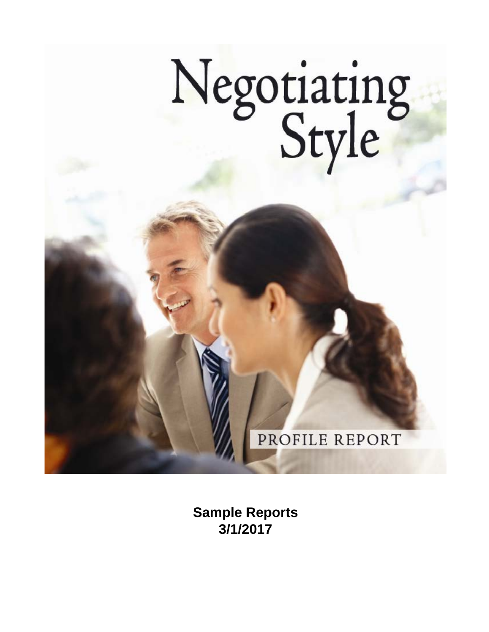

**Sample Reports 3/1/2017**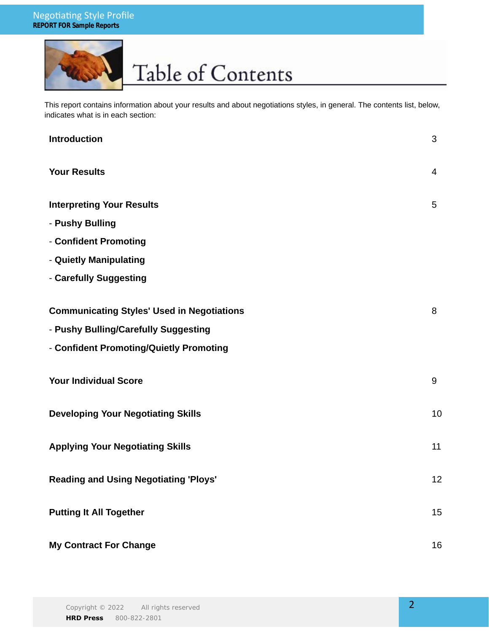

### Table of Contents

This report contains information about your results and about negotiations styles, in general. The contents list, below, indicates what is in each section:

| <b>Introduction</b>                               | 3              |
|---------------------------------------------------|----------------|
| <b>Your Results</b>                               | $\overline{4}$ |
| <b>Interpreting Your Results</b>                  | 5              |
| - Pushy Bulling                                   |                |
| - Confident Promoting                             |                |
| - Quietly Manipulating                            |                |
| - Carefully Suggesting                            |                |
| <b>Communicating Styles' Used in Negotiations</b> | 8              |
| - Pushy Bulling/Carefully Suggesting              |                |
| - Confident Promoting/Quietly Promoting           |                |
| <b>Your Individual Score</b>                      | 9              |
| <b>Developing Your Negotiating Skills</b>         | 10             |
| <b>Applying Your Negotiating Skills</b>           | 11             |
| <b>Reading and Using Negotiating 'Ploys'</b>      | 12             |
| <b>Putting It All Together</b>                    | 15             |
| <b>My Contract For Change</b>                     | 16             |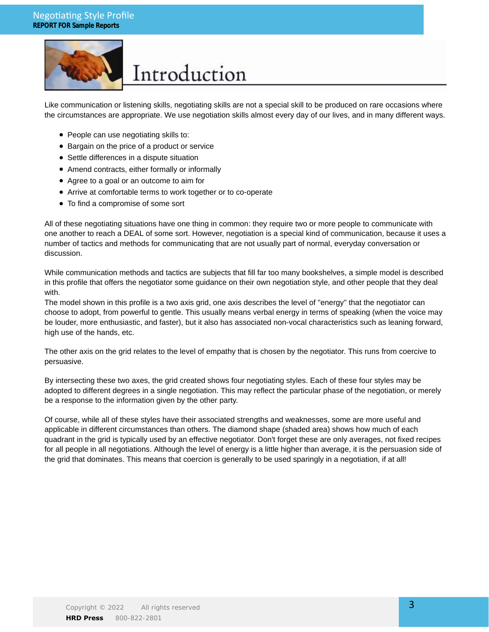

### Introduction

Like communication or listening skills, negotiating skills are not a special skill to be produced on rare occasions where the circumstances are appropriate. We use negotiation skills almost every day of our lives, and in many different ways.

- People can use negotiating skills to:
- Bargain on the price of a product or service
- Settle differences in a dispute situation
- Amend contracts, either formally or informally
- Agree to a goal or an outcome to aim for
- Arrive at comfortable terms to work together or to co-operate
- To find a compromise of some sort

All of these negotiating situations have one thing in common: they require two or more people to communicate with one another to reach a DEAL of some sort. However, negotiation is a special kind of communication, because it uses a number of tactics and methods for communicating that are not usually part of normal, everyday conversation or discussion.

While communication methods and tactics are subjects that fill far too many bookshelves, a simple model is described in this profile that offers the negotiator some guidance on their own negotiation style, and other people that they deal with.

The model shown in this profile is a two axis grid, one axis describes the level of "energy" that the negotiator can choose to adopt, from powerful to gentle. This usually means verbal energy in terms of speaking (when the voice may be louder, more enthusiastic, and faster), but it also has associated non-vocal characteristics such as leaning forward, high use of the hands, etc.

The other axis on the grid relates to the level of empathy that is chosen by the negotiator. This runs from coercive to persuasive.

By intersecting these two axes, the grid created shows four negotiating styles. Each of these four styles may be adopted to different degrees in a single negotiation. This may reflect the particular phase of the negotiation, or merely be a response to the information given by the other party.

Of course, while all of these styles have their associated strengths and weaknesses, some are more useful and applicable in different circumstances than others. The diamond shape (shaded area) shows how much of each quadrant in the grid is typically used by an effective negotiator. Don't forget these are only averages, not fixed recipes for all people in all negotiations. Although the level of energy is a little higher than average, it is the persuasion side of the grid that dominates. This means that coercion is generally to be used sparingly in a negotiation, if at all!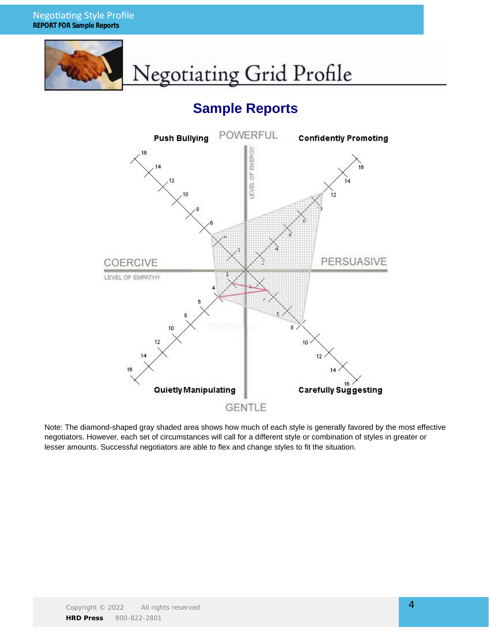

### **Sample Reports**



Note: The diamond-shaped gray shaded area shows how much of each style is generally favored by the most effective negotiators. However, each set of circumstances will call for a different style or combination of styles in greater or lesser amounts. Successful negotiators are able to flex and change styles to fit the situation.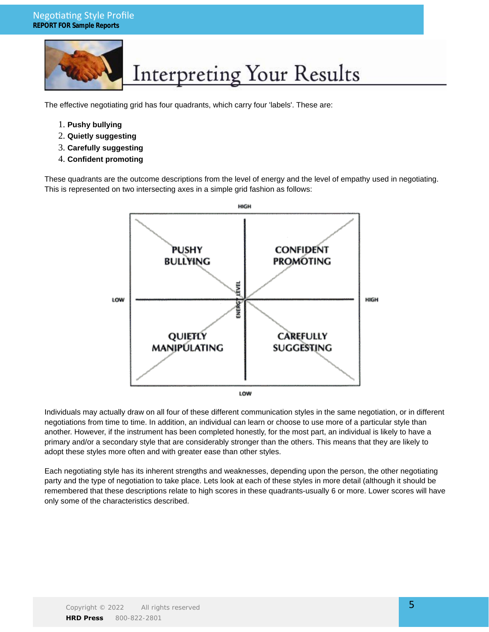### Negotiating Style Profile **REPORT FOR Sample Reports**



## **Interpreting Your Results**

The effective negotiating grid has four quadrants, which carry four 'labels'. These are:

- 1. **Pushy bullying**
- 2. **Quietly suggesting**
- 3. **Carefully suggesting**
- 4. **Confident promoting**

These quadrants are the outcome descriptions from the level of energy and the level of empathy used in negotiating. This is represented on two intersecting axes in a simple grid fashion as follows:



Individuals may actually draw on all four of these different communication styles in the same negotiation, or in different negotiations from time to time. In addition, an individual can learn or choose to use more of a particular style than another. However, if the instrument has been completed honestly, for the most part, an individual is likely to have a primary and/or a secondary style that are considerably stronger than the others. This means that they are likely to adopt these styles more often and with greater ease than other styles.

Each negotiating style has its inherent strengths and weaknesses, depending upon the person, the other negotiating party and the type of negotiation to take place. Lets look at each of these styles in more detail (although it should be remembered that these descriptions relate to high scores in these quadrants-usually 6 or more. Lower scores will have only some of the characteristics described.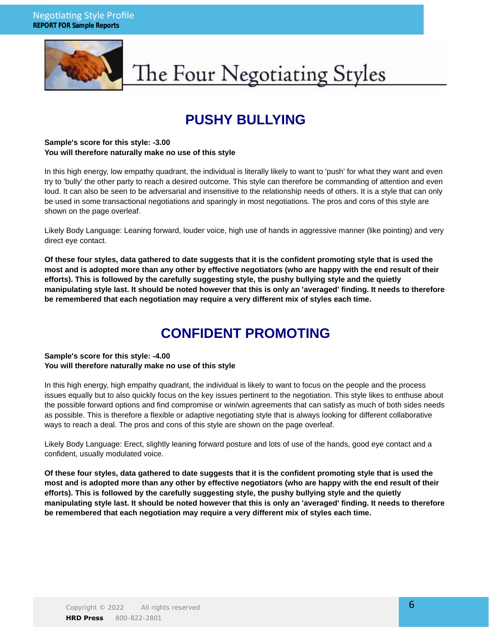

## The Four Negotiating Styles

### **PUSHY BULLYING**

#### **Sample's score for this style: -3.00 You will therefore naturally make no use of this style**

In this high energy, low empathy quadrant, the individual is literally likely to want to 'push' for what they want and even try to 'bully' the other party to reach a desired outcome. This style can therefore be commanding of attention and even loud. It can also be seen to be adversarial and insensitive to the relationship needs of others. It is a style that can only be used in some transactional negotiations and sparingly in most negotiations. The pros and cons of this style are shown on the page overleaf.

Likely Body Language: Leaning forward, louder voice, high use of hands in aggressive manner (like pointing) and very direct eye contact.

**Of these four styles, data gathered to date suggests that it is the confident promoting style that is used the most and is adopted more than any other by effective negotiators (who are happy with the end result of their efforts). This is followed by the carefully suggesting style, the pushy bullying style and the quietly manipulating style last. It should be noted however that this is only an 'averaged' finding. It needs to therefore be remembered that each negotiation may require a very different mix of styles each time.**

### **CONFIDENT PROMOTING**

#### **Sample's score for this style: -4.00 You will therefore naturally make no use of this style**

In this high energy, high empathy quadrant, the individual is likely to want to focus on the people and the process issues equally but to also quickly focus on the key issues pertinent to the negotiation. This style likes to enthuse about the possible forward options and find compromise or win/win agreements that can satisfy as much of both sides needs as possible. This is therefore a flexible or adaptive negotiating style that is always looking for different collaborative ways to reach a deal. The pros and cons of this style are shown on the page overleaf.

Likely Body Language: Erect, slightly leaning forward posture and lots of use of the hands, good eye contact and a confident, usually modulated voice.

**Of these four styles, data gathered to date suggests that it is the confident promoting style that is used the most and is adopted more than any other by effective negotiators (who are happy with the end result of their efforts). This is followed by the carefully suggesting style, the pushy bullying style and the quietly manipulating style last. It should be noted however that this is only an 'averaged' finding. It needs to therefore be remembered that each negotiation may require a very different mix of styles each time.**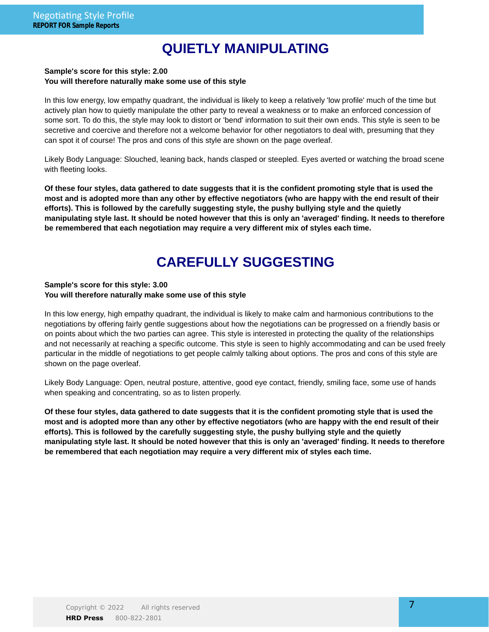### **QUIETLY MANIPULATING**

#### **Sample's score for this style: 2.00 You will therefore naturally make some use of this style**

In this low energy, low empathy quadrant, the individual is likely to keep a relatively 'low profile' much of the time but actively plan how to quietly manipulate the other party to reveal a weakness or to make an enforced concession of some sort. To do this, the style may look to distort or 'bend' information to suit their own ends. This style is seen to be secretive and coercive and therefore not a welcome behavior for other negotiators to deal with, presuming that they can spot it of course! The pros and cons of this style are shown on the page overleaf.

Likely Body Language: Slouched, leaning back, hands clasped or steepled. Eyes averted or watching the broad scene with fleeting looks.

**Of these four styles, data gathered to date suggests that it is the confident promoting style that is used the most and is adopted more than any other by effective negotiators (who are happy with the end result of their efforts). This is followed by the carefully suggesting style, the pushy bullying style and the quietly manipulating style last. It should be noted however that this is only an 'averaged' finding. It needs to therefore be remembered that each negotiation may require a very different mix of styles each time.**

### **CAREFULLY SUGGESTING**

#### **Sample's score for this style: 3.00 You will therefore naturally make some use of this style**

In this low energy, high empathy quadrant, the individual is likely to make calm and harmonious contributions to the negotiations by offering fairly gentle suggestions about how the negotiations can be progressed on a friendly basis or on points about which the two parties can agree. This style is interested in protecting the quality of the relationships and not necessarily at reaching a specific outcome. This style is seen to highly accommodating and can be used freely particular in the middle of negotiations to get people calmly talking about options. The pros and cons of this style are shown on the page overleaf.

Likely Body Language: Open, neutral posture, attentive, good eye contact, friendly, smiling face, some use of hands when speaking and concentrating, so as to listen properly.

**Of these four styles, data gathered to date suggests that it is the confident promoting style that is used the most and is adopted more than any other by effective negotiators (who are happy with the end result of their efforts). This is followed by the carefully suggesting style, the pushy bullying style and the quietly manipulating style last. It should be noted however that this is only an 'averaged' finding. It needs to therefore be remembered that each negotiation may require a very different mix of styles each time.**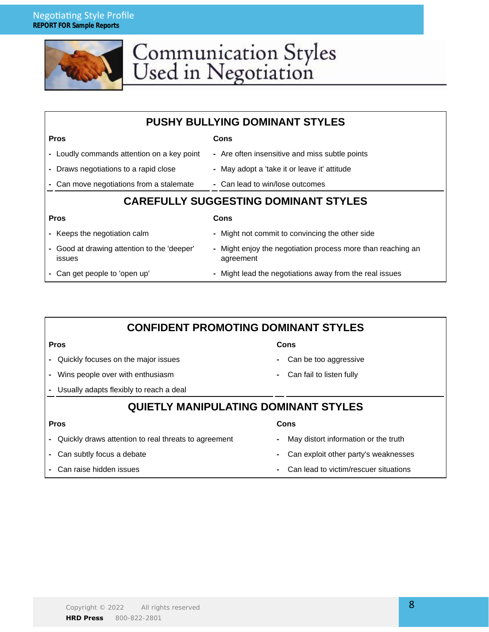

# Communication Styles<br>Used in Negotiation

| <b>PUSHY BULLYING DOMINANT STYLES</b>                     |                                                                          |  |  |  |
|-----------------------------------------------------------|--------------------------------------------------------------------------|--|--|--|
| <b>Pros</b>                                               | Cons                                                                     |  |  |  |
| - Loudly commands attention on a key point                | - Are often insensitive and miss subtle points                           |  |  |  |
| Draws negotiations to a rapid close                       | - May adopt a 'take it or leave it' attitude                             |  |  |  |
| Can move negotiations from a stalemate                    | - Can lead to win/lose outcomes                                          |  |  |  |
| <b>CAREFULLY SUGGESTING DOMINANT STYLES</b>               |                                                                          |  |  |  |
| <b>Pros</b>                                               | Cons                                                                     |  |  |  |
| - Keeps the negotiation calm                              | - Might not commit to convincing the other side                          |  |  |  |
| Good at drawing attention to the 'deeper'<br>۰.<br>issues | - Might enjoy the negotiation process more than reaching an<br>agreement |  |  |  |
| Can get people to 'open up'                               | - Might lead the negotiations away from the real issues                  |  |  |  |

| <b>CONFIDENT PROMOTING DOMINANT STYLES</b>           |                                            |  |  |  |
|------------------------------------------------------|--------------------------------------------|--|--|--|
| <b>Pros</b>                                          | Cons                                       |  |  |  |
| Quickly focuses on the major issues                  | Can be too aggressive<br>٠                 |  |  |  |
| Wins people over with enthusiasm                     | Can fail to listen fully<br>۰.             |  |  |  |
| Usually adapts flexibly to reach a deal              |                                            |  |  |  |
| <b>QUIETLY MANIPULATING DOMINANT STYLES</b>          |                                            |  |  |  |
| <b>Pros</b>                                          | Cons                                       |  |  |  |
| Quickly draws attention to real threats to agreement | May distort information or the truth<br>۰. |  |  |  |
| Can subtly focus a debate                            | Can exploit other party's weaknesses<br>۰  |  |  |  |
| Can raise hidden issues                              | Can lead to victim/rescuer situations      |  |  |  |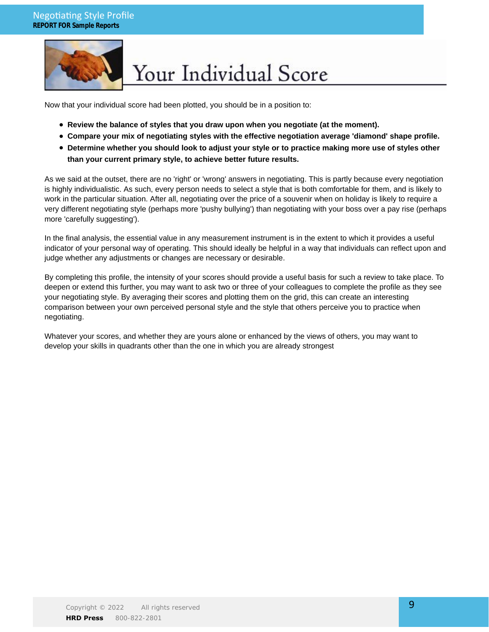

## Your Individual Score

Now that your individual score had been plotted, you should be in a position to:

- **Review the balance of styles that you draw upon when you negotiate (at the moment).**
- **Compare your mix of negotiating styles with the effective negotiation average 'diamond' shape profile.**
- **Determine whether you should look to adjust your style or to practice making more use of styles other than your current primary style, to achieve better future results.**

As we said at the outset, there are no 'right' or 'wrong' answers in negotiating. This is partly because every negotiation is highly individualistic. As such, every person needs to select a style that is both comfortable for them, and is likely to work in the particular situation. After all, negotiating over the price of a souvenir when on holiday is likely to require a very different negotiating style (perhaps more 'pushy bullying') than negotiating with your boss over a pay rise (perhaps more 'carefully suggesting').

In the final analysis, the essential value in any measurement instrument is in the extent to which it provides a useful indicator of your personal way of operating. This should ideally be helpful in a way that individuals can reflect upon and judge whether any adjustments or changes are necessary or desirable.

By completing this profile, the intensity of your scores should provide a useful basis for such a review to take place. To deepen or extend this further, you may want to ask two or three of your colleagues to complete the profile as they see your negotiating style. By averaging their scores and plotting them on the grid, this can create an interesting comparison between your own perceived personal style and the style that others perceive you to practice when negotiating.

Whatever your scores, and whether they are yours alone or enhanced by the views of others, you may want to develop your skills in quadrants other than the one in which you are already strongest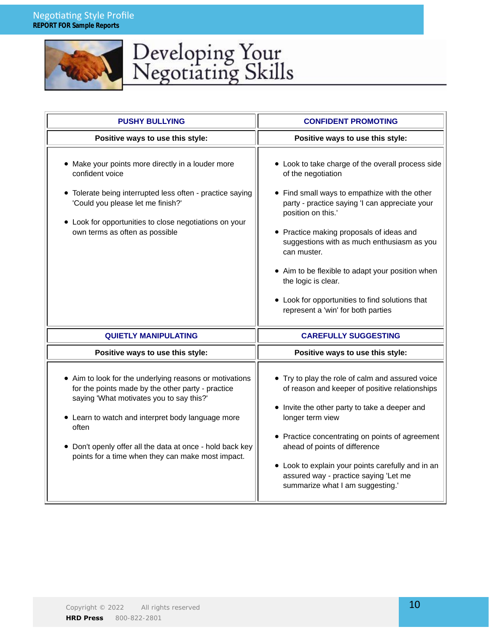

# Developing Your<br>Negotiating Skills

| <b>PUSHY BULLYING</b>                                                                                                                                                                                                                                                                                                                    | <b>CONFIDENT PROMOTING</b>                                                                                                                                                                                                                                                                                                                                                                                                                                                    |  |
|------------------------------------------------------------------------------------------------------------------------------------------------------------------------------------------------------------------------------------------------------------------------------------------------------------------------------------------|-------------------------------------------------------------------------------------------------------------------------------------------------------------------------------------------------------------------------------------------------------------------------------------------------------------------------------------------------------------------------------------------------------------------------------------------------------------------------------|--|
| Positive ways to use this style:                                                                                                                                                                                                                                                                                                         | Positive ways to use this style:                                                                                                                                                                                                                                                                                                                                                                                                                                              |  |
| • Make your points more directly in a louder more<br>confident voice<br>• Tolerate being interrupted less often - practice saying<br>'Could you please let me finish?'<br>• Look for opportunities to close negotiations on your<br>own terms as often as possible                                                                       | • Look to take charge of the overall process side<br>of the negotiation<br>• Find small ways to empathize with the other<br>party - practice saying 'I can appreciate your<br>position on this.'<br>• Practice making proposals of ideas and<br>suggestions with as much enthusiasm as you<br>can muster.<br>• Aim to be flexible to adapt your position when<br>the logic is clear.<br>• Look for opportunities to find solutions that<br>represent a 'win' for both parties |  |
| <b>QUIETLY MANIPULATING</b>                                                                                                                                                                                                                                                                                                              | <b>CAREFULLY SUGGESTING</b>                                                                                                                                                                                                                                                                                                                                                                                                                                                   |  |
| Positive ways to use this style:                                                                                                                                                                                                                                                                                                         | Positive ways to use this style:                                                                                                                                                                                                                                                                                                                                                                                                                                              |  |
| • Aim to look for the underlying reasons or motivations<br>for the points made by the other party - practice<br>saying 'What motivates you to say this?'<br>• Learn to watch and interpret body language more<br>often<br>• Don't openly offer all the data at once - hold back key<br>points for a time when they can make most impact. | • Try to play the role of calm and assured voice<br>of reason and keeper of positive relationships<br>• Invite the other party to take a deeper and<br>longer term view<br>• Practice concentrating on points of agreement<br>ahead of points of difference<br>• Look to explain your points carefully and in an<br>assured way - practice saying 'Let me<br>summarize what I am suggesting.'                                                                                 |  |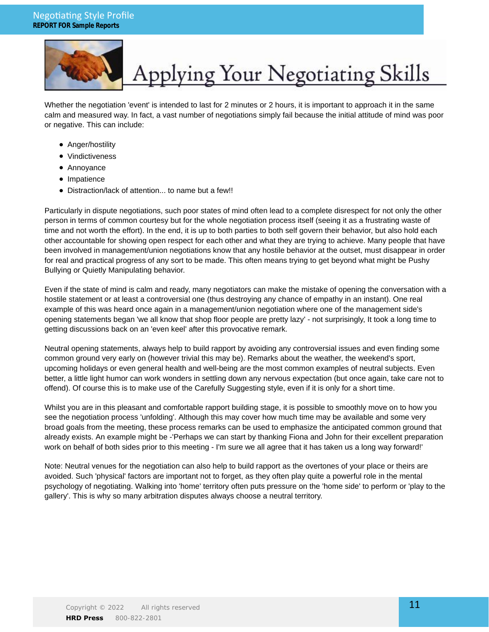

# Applying Your Negotiating Skills

Whether the negotiation 'event' is intended to last for 2 minutes or 2 hours, it is important to approach it in the same calm and measured way. In fact, a vast number of negotiations simply fail because the initial attitude of mind was poor or negative. This can include:

- Anger/hostility
- Vindictiveness
- Annoyance
- Impatience
- Distraction/lack of attention... to name but a few!!

Particularly in dispute negotiations, such poor states of mind often lead to a complete disrespect for not only the other person in terms of common courtesy but for the whole negotiation process itself (seeing it as a frustrating waste of time and not worth the effort). In the end, it is up to both parties to both self govern their behavior, but also hold each other accountable for showing open respect for each other and what they are trying to achieve. Many people that have been involved in management/union negotiations know that any hostile behavior at the outset, must disappear in order for real and practical progress of any sort to be made. This often means trying to get beyond what might be Pushy Bullying or Quietly Manipulating behavior.

Even if the state of mind is calm and ready, many negotiators can make the mistake of opening the conversation with a hostile statement or at least a controversial one (thus destroying any chance of empathy in an instant). One real example of this was heard once again in a management/union negotiation where one of the management side's opening statements began 'we all know that shop floor people are pretty lazy' - not surprisingly, It took a long time to getting discussions back on an 'even keel' after this provocative remark.

Neutral opening statements, always help to build rapport by avoiding any controversial issues and even finding some common ground very early on (however trivial this may be). Remarks about the weather, the weekend's sport, upcoming holidays or even general health and well-being are the most common examples of neutral subjects. Even better, a little light humor can work wonders in settling down any nervous expectation (but once again, take care not to offend). Of course this is to make use of the Carefully Suggesting style, even if it is only for a short time.

Whilst you are in this pleasant and comfortable rapport building stage, it is possible to smoothly move on to how you see the negotiation process 'unfolding'. Although this may cover how much time may be available and some very broad goals from the meeting, these process remarks can be used to emphasize the anticipated common ground that already exists. An example might be -'Perhaps we can start by thanking Fiona and John for their excellent preparation work on behalf of both sides prior to this meeting - I'm sure we all agree that it has taken us a long way forward!'

Note: Neutral venues for the negotiation can also help to build rapport as the overtones of your place or theirs are avoided. Such 'physical' factors are important not to forget, as they often play quite a powerful role in the mental psychology of negotiating. Walking into 'home' territory often puts pressure on the 'home side' to perform or 'play to the gallery'. This is why so many arbitration disputes always choose a neutral territory.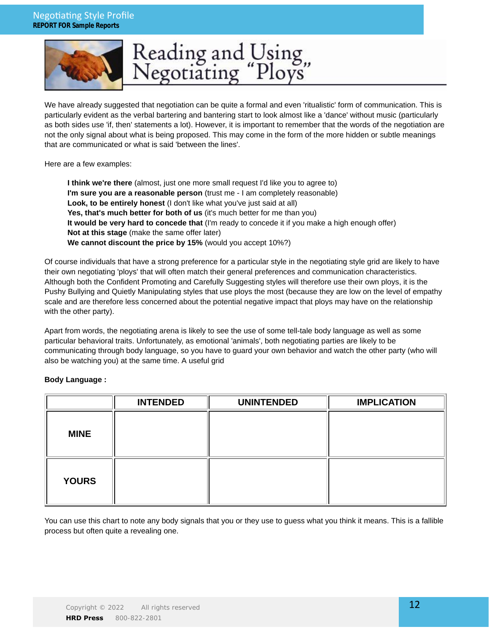### Negotiating Style Profile **REPORT FOR Sample Reports**



# Reading and Using,<br>Negotiating "Ploys"

We have already suggested that negotiation can be quite a formal and even 'ritualistic' form of communication. This is particularly evident as the verbal bartering and bantering start to look almost like a 'dance' without music (particularly as both sides use 'if, then' statements a lot). However, it is important to remember that the words of the negotiation are not the only signal about what is being proposed. This may come in the form of the more hidden or subtle meanings that are communicated or what is said 'between the lines'.

Here are a few examples:

**I think we're there** (almost, just one more small request I'd like you to agree to) **I'm sure you are a reasonable person** (trust me - I am completely reasonable) **Look, to be entirely honest** (I don't like what you've just said at all) **Yes, that's much better for both of us** (it's much better for me than you) **It would be very hard to concede that** (I'm ready to concede it if you make a high enough offer) **Not at this stage** (make the same offer later) **We cannot discount the price by 15%** (would you accept 10%?)

Of course individuals that have a strong preference for a particular style in the negotiating style grid are likely to have their own negotiating 'ploys' that will often match their general preferences and communication characteristics. Although both the Confident Promoting and Carefully Suggesting styles will therefore use their own ploys, it is the Pushy Bullying and Quietly Manipulating styles that use ploys the most (because they are low on the level of empathy scale and are therefore less concerned about the potential negative impact that ploys may have on the relationship with the other party).

Apart from words, the negotiating arena is likely to see the use of some tell-tale body language as well as some particular behavioral traits. Unfortunately, as emotional 'animals', both negotiating parties are likely to be communicating through body language, so you have to guard your own behavior and watch the other party (who will also be watching you) at the same time. A useful grid

#### **Body Language :**

|              | <b>INTENDED</b> | <b>UNINTENDED</b> | <b>IMPLICATION</b> |
|--------------|-----------------|-------------------|--------------------|
| <b>MINE</b>  |                 |                   |                    |
| <b>YOURS</b> |                 |                   |                    |

You can use this chart to note any body signals that you or they use to guess what you think it means. This is a fallible process but often quite a revealing one.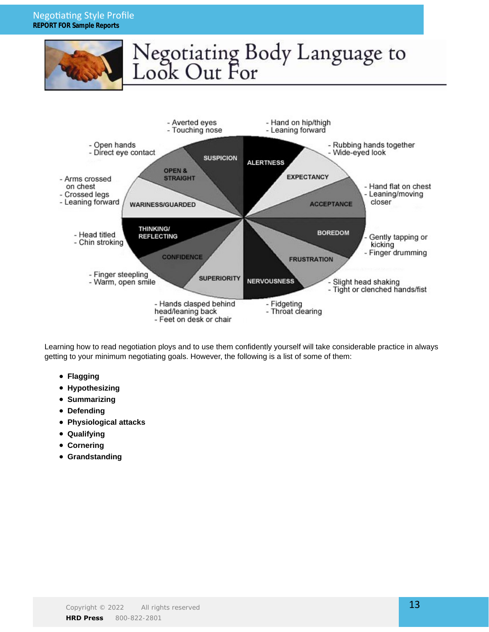### Negotiating Style Profile **REPORT FOR Sample Reports**





Learning how to read negotiation ploys and to use them confidently yourself will take considerable practice in always getting to your minimum negotiating goals. However, the following is a list of some of them:

- **Flagging**
- **Hypothesizing**
- **Summarizing**
- **Defending**
- **Physiological attacks**
- **Qualifying**
- **Cornering**
- **Grandstanding**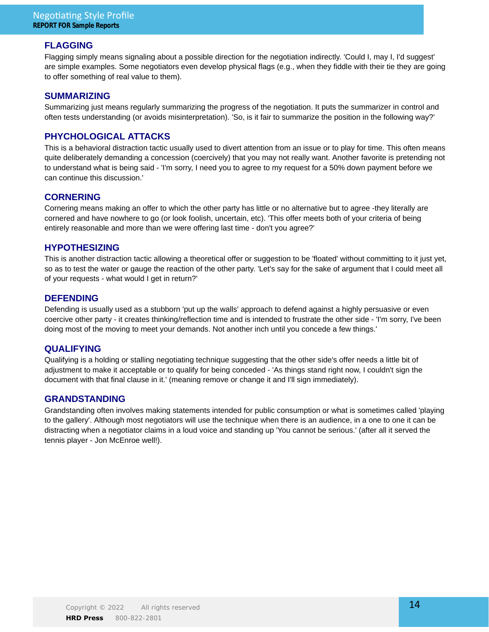### **FLAGGING**

Flagging simply means signaling about a possible direction for the negotiation indirectly. 'Could I, may I, I'd suggest' are simple examples. Some negotiators even develop physical flags (e.g., when they fiddle with their tie they are going to offer something of real value to them).

#### **SUMMARIZING**

Summarizing just means regularly summarizing the progress of the negotiation. It puts the summarizer in control and often tests understanding (or avoids misinterpretation). 'So, is it fair to summarize the position in the following way?'

### **PHYCHOLOGICAL ATTACKS**

This is a behavioral distraction tactic usually used to divert attention from an issue or to play for time. This often means quite deliberately demanding a concession (coercively) that you may not really want. Another favorite is pretending not to understand what is being said - 'I'm sorry, I need you to agree to my request for a 50% down payment before we can continue this discussion.'

### **CORNERING**

Cornering means making an offer to which the other party has little or no alternative but to agree -they literally are cornered and have nowhere to go (or look foolish, uncertain, etc). 'This offer meets both of your criteria of being entirely reasonable and more than we were offering last time - don't you agree?'

### **HYPOTHESIZING**

This is another distraction tactic allowing a theoretical offer or suggestion to be 'floated' without committing to it just yet, so as to test the water or gauge the reaction of the other party. 'Let's say for the sake of argument that I could meet all of your requests - what would I get in return?'

### **DEFENDING**

Defending is usually used as a stubborn 'put up the walls' approach to defend against a highly persuasive or even coercive other party - it creates thinking/reflection time and is intended to frustrate the other side - 'I'm sorry, I've been doing most of the moving to meet your demands. Not another inch until you concede a few things.'

### **QUALIFYING**

Qualifying is a holding or stalling negotiating technique suggesting that the other side's offer needs a little bit of adjustment to make it acceptable or to qualify for being conceded - 'As things stand right now, I couldn't sign the document with that final clause in it.' (meaning remove or change it and I'll sign immediately).

### **GRANDSTANDING**

Grandstanding often involves making statements intended for public consumption or what is sometimes called 'playing to the gallery'. Although most negotiators will use the technique when there is an audience, in a one to one it can be distracting when a negotiator claims in a loud voice and standing up 'You cannot be serious.' (after all it served the tennis player - Jon McEnroe well!).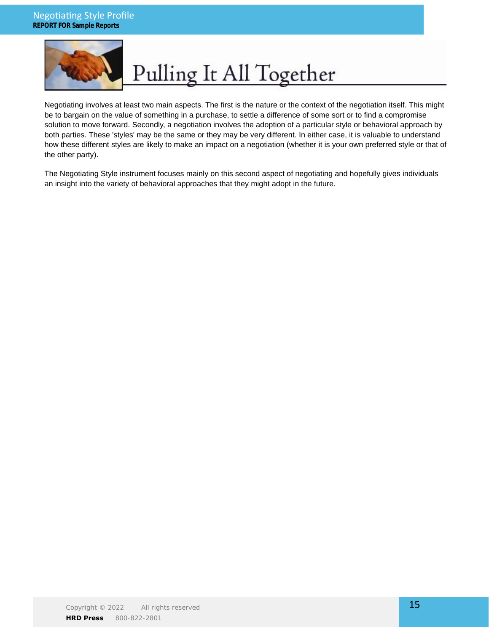

# Pulling It All Together

Negotiating involves at least two main aspects. The first is the nature or the context of the negotiation itself. This might be to bargain on the value of something in a purchase, to settle a difference of some sort or to find a compromise solution to move forward. Secondly, a negotiation involves the adoption of a particular style or behavioral approach by both parties. These 'styles' may be the same or they may be very different. In either case, it is valuable to understand how these different styles are likely to make an impact on a negotiation (whether it is your own preferred style or that of the other party).

The Negotiating Style instrument focuses mainly on this second aspect of negotiating and hopefully gives individuals an insight into the variety of behavioral approaches that they might adopt in the future.